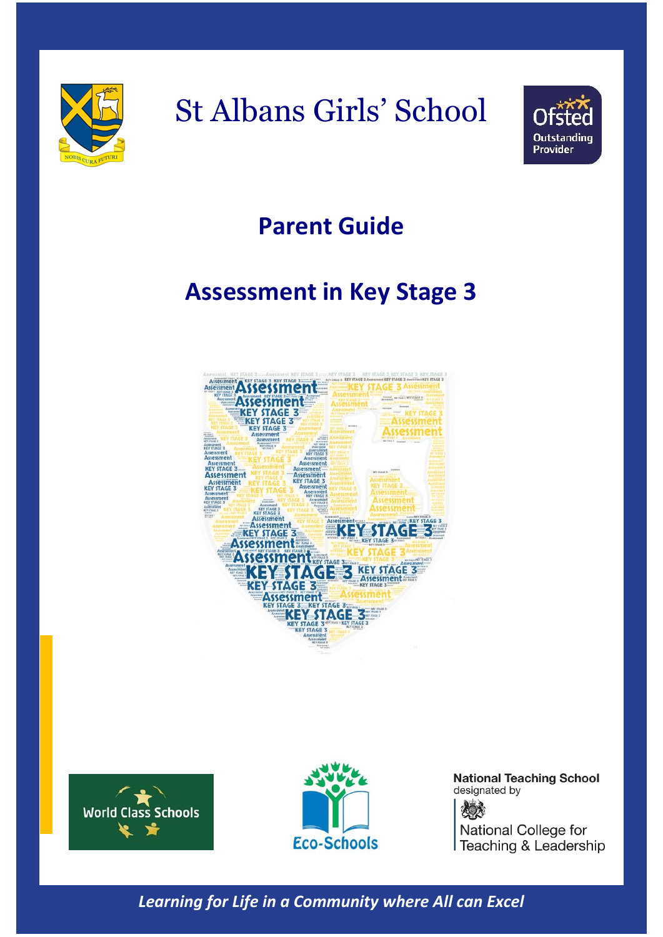



### **Parent Guide**

### **Assessment in Key Stage 3**







**National Teaching School** designated by 夜晚茶 National College for Teaching & Leadership

*Learning for Life in a Community where All can Excel*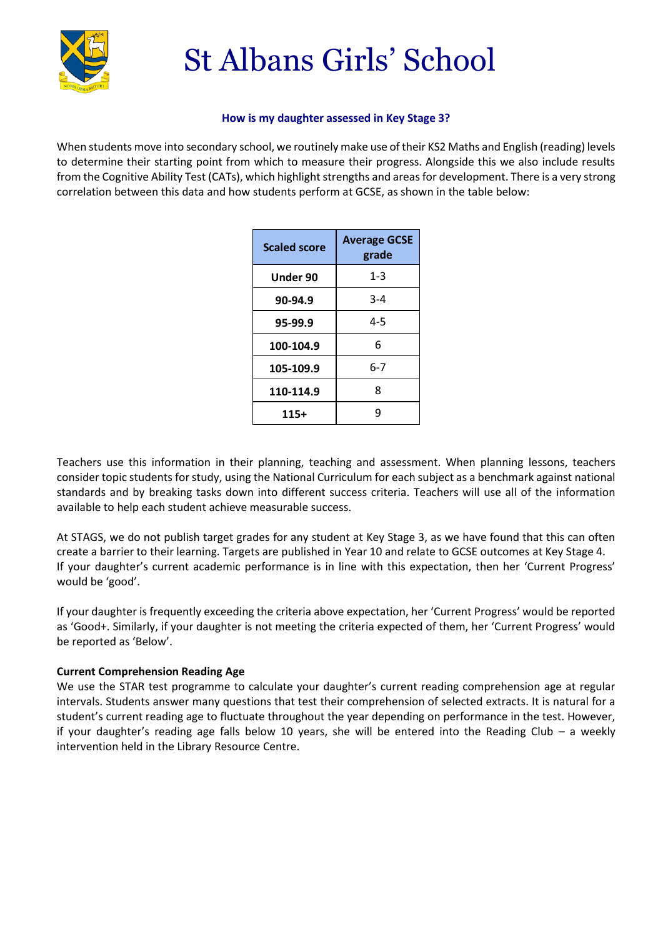

### **How is my daughter assessed in Key Stage 3?**

When students move into secondary school, we routinely make use of their KS2 Maths and English (reading) levels to determine their starting point from which to measure their progress. Alongside this we also include results from the Cognitive Ability Test (CATs), which highlight strengths and areas for development. There is a very strong correlation between this data and how students perform at GCSE, as shown in the table below:

| <b>Scaled score</b> | <b>Average GCSE</b><br>grade |  |
|---------------------|------------------------------|--|
| Under 90            | $1 - 3$                      |  |
| 90-94.9             | $3 - 4$                      |  |
| 95-99.9             | $4 - 5$                      |  |
| 100-104.9           | 6                            |  |
| 105-109.9           | 6-7                          |  |
| 110-114.9           | ጸ                            |  |
| 115+                | q                            |  |

Teachers use this information in their planning, teaching and assessment. When planning lessons, teachers consider topic students for study, using the National Curriculum for each subject as a benchmark against national standards and by breaking tasks down into different success criteria. Teachers will use all of the information available to help each student achieve measurable success.

At STAGS, we do not publish target grades for any student at Key Stage 3, as we have found that this can often create a barrier to their learning. Targets are published in Year 10 and relate to GCSE outcomes at Key Stage 4. If your daughter's current academic performance is in line with this expectation, then her 'Current Progress' would be 'good'.

If your daughter is frequently exceeding the criteria above expectation, her 'Current Progress' would be reported as 'Good+. Similarly, if your daughter is not meeting the criteria expected of them, her 'Current Progress' would be reported as 'Below'.

### **Current Comprehension Reading Age**

We use the STAR test programme to calculate your daughter's current reading comprehension age at regular intervals. Students answer many questions that test their comprehension of selected extracts. It is natural for a student's current reading age to fluctuate throughout the year depending on performance in the test. However, if your daughter's reading age falls below 10 years, she will be entered into the Reading Club – a weekly intervention held in the Library Resource Centre.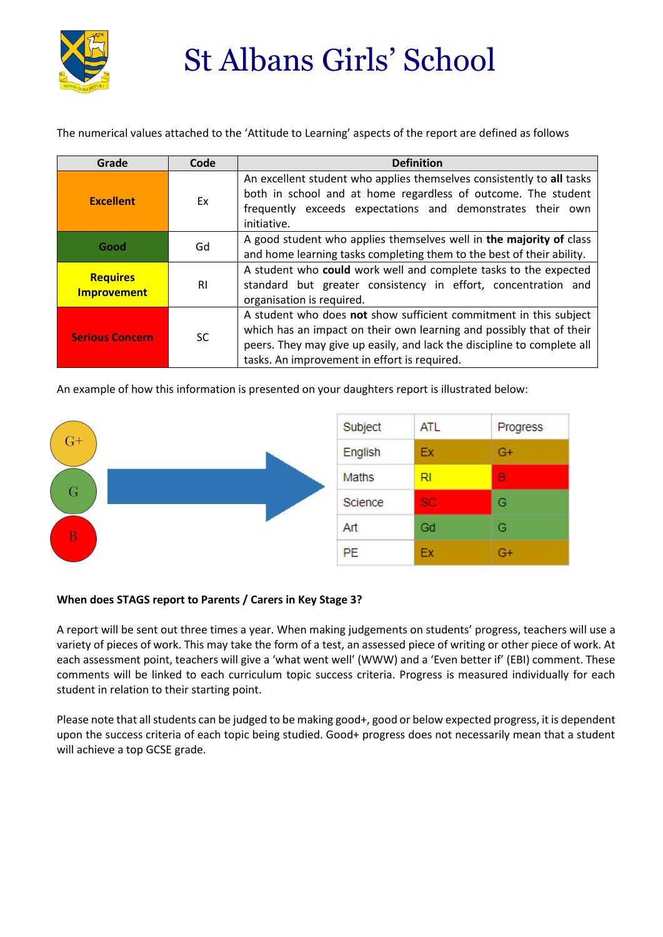

The numerical values attached to the 'Attitude to Learning' aspects of the report are defined as follows

| Grade                                 | Code      | <b>Definition</b>                                                                                                                                                                                                                                                    |
|---------------------------------------|-----------|----------------------------------------------------------------------------------------------------------------------------------------------------------------------------------------------------------------------------------------------------------------------|
| <b>Excellent</b>                      | Ex        | An excellent student who applies themselves consistently to all tasks<br>both in school and at home regardless of outcome. The student<br>frequently exceeds expectations and demonstrates their own<br>initiative.                                                  |
| Good                                  | Gd        | A good student who applies themselves well in the majority of class<br>and home learning tasks completing them to the best of their ability.                                                                                                                         |
| <b>Requires</b><br><b>Improvement</b> | <b>RI</b> | A student who could work well and complete tasks to the expected<br>standard but greater consistency in effort, concentration and<br>organisation is required.                                                                                                       |
| <b>Serious Concern</b>                | <b>SC</b> | A student who does not show sufficient commitment in this subject<br>which has an impact on their own learning and possibly that of their<br>peers. They may give up easily, and lack the discipline to complete all<br>tasks. An improvement in effort is required. |

An example of how this information is presented on your daughters report is illustrated below:



### **When does STAGS report to Parents / Carers in Key Stage 3?**

A report will be sent out three times a year. When making judgements on students' progress, teachers will use a variety of pieces of work. This may take the form of a test, an assessed piece of writing or other piece of work. At each assessment point, teachers will give a 'what went well' (WWW) and a 'Even better if' (EBI) comment. These comments will be linked to each curriculum topic success criteria. Progress is measured individually for each student in relation to their starting point.

Please note that all students can be judged to be making good+, good or below expected progress, it is dependent upon the success criteria of each topic being studied. Good+ progress does not necessarily mean that a student will achieve a top GCSE grade.